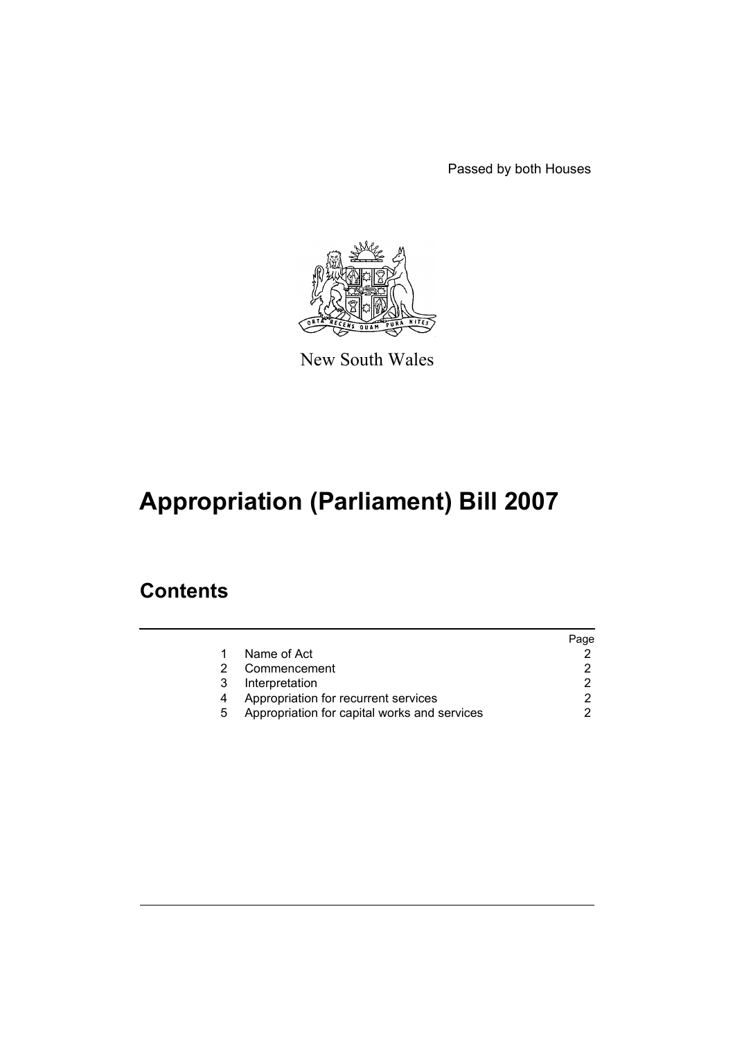Passed by both Houses



New South Wales

# **Appropriation (Parliament) Bill 2007**

### **Contents**

|   |                                              | Page |
|---|----------------------------------------------|------|
|   | Name of Act                                  |      |
|   | Commencement                                 |      |
| 3 | Interpretation                               |      |
|   | Appropriation for recurrent services         |      |
| 5 | Appropriation for capital works and services |      |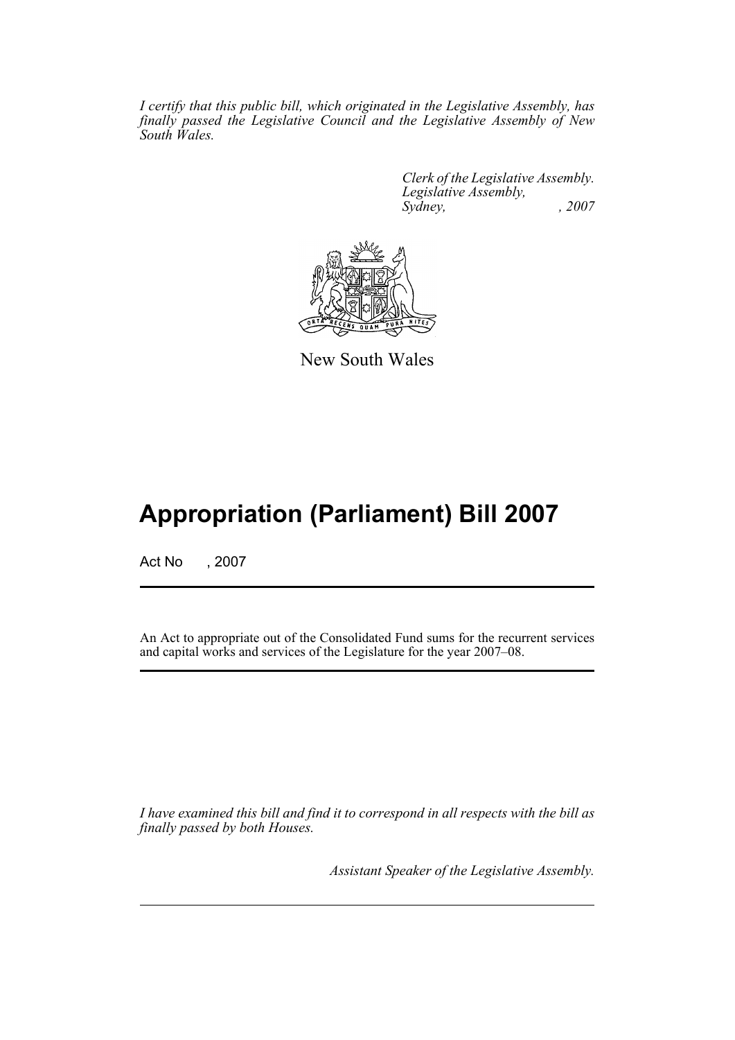*I certify that this public bill, which originated in the Legislative Assembly, has finally passed the Legislative Council and the Legislative Assembly of New South Wales.*

> *Clerk of the Legislative Assembly. Legislative Assembly, Sydney, , 2007*



New South Wales

## **Appropriation (Parliament) Bill 2007**

Act No , 2007

An Act to appropriate out of the Consolidated Fund sums for the recurrent services and capital works and services of the Legislature for the year 2007–08.

*I have examined this bill and find it to correspond in all respects with the bill as finally passed by both Houses.*

*Assistant Speaker of the Legislative Assembly.*